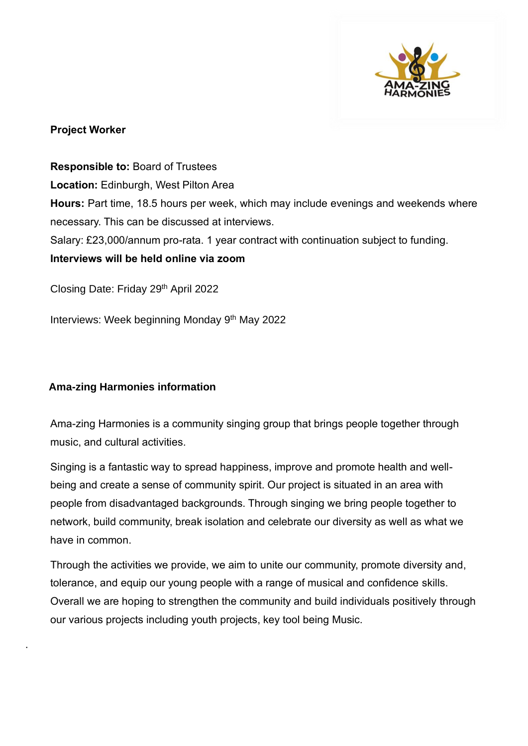

#### **Project Worker**

**Responsible to:** Board of Trustees **Location:** Edinburgh, West Pilton Area **Hours:** Part time, 18.5 hours per week, which may include evenings and weekends where necessary. This can be discussed at interviews. Salary: £23,000/annum pro-rata. 1 year contract with continuation subject to funding. **Interviews will be held online via zoom**

Closing Date: Friday 29th April 2022

Interviews: Week beginning Monday 9<sup>th</sup> May 2022

### **Ama-zing Harmonies information**

.

Ama-zing Harmonies is a community singing group that brings people together through music, and cultural activities.

Singing is a fantastic way to spread happiness, improve and promote health and wellbeing and create a sense of community spirit. Our project is situated in an area with people from disadvantaged backgrounds. Through singing we bring people together to network, build community, break isolation and celebrate our diversity as well as what we have in common.

Through the activities we provide, we aim to unite our community, promote diversity and, tolerance, and equip our young people with a range of musical and confidence skills. Overall we are hoping to strengthen the community and build individuals positively through our various projects including youth projects, key tool being Music.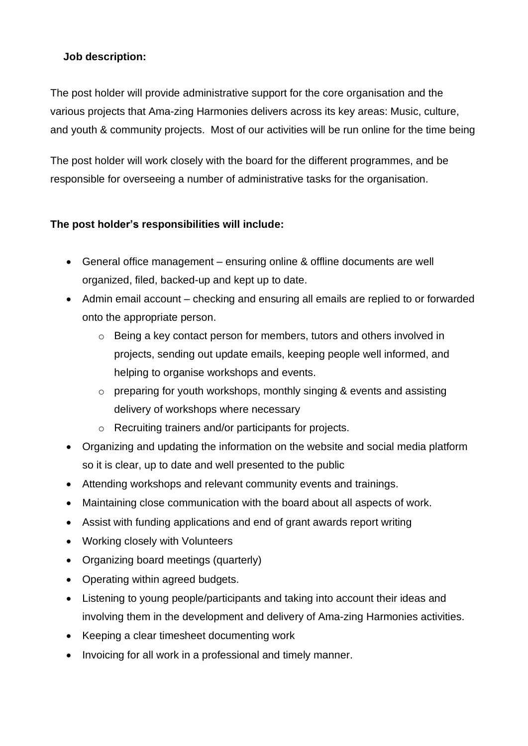# **Job description:**

The post holder will provide administrative support for the core organisation and the various projects that Ama-zing Harmonies delivers across its key areas: Music, culture, and youth & community projects. Most of our activities will be run online for the time being

The post holder will work closely with the board for the different programmes, and be responsible for overseeing a number of administrative tasks for the organisation.

# **The post holder's responsibilities will include:**

- General office management ensuring online & offline documents are well organized, filed, backed-up and kept up to date.
- Admin email account checking and ensuring all emails are replied to or forwarded onto the appropriate person.
	- o Being a key contact person for members, tutors and others involved in projects, sending out update emails, keeping people well informed, and helping to organise workshops and events.
	- o preparing for youth workshops, monthly singing & events and assisting delivery of workshops where necessary
	- o Recruiting trainers and/or participants for projects.
- Organizing and updating the information on the website and social media platform so it is clear, up to date and well presented to the public
- Attending workshops and relevant community events and trainings.
- Maintaining close communication with the board about all aspects of work.
- Assist with funding applications and end of grant awards report writing
- Working closely with Volunteers
- Organizing board meetings (quarterly)
- Operating within agreed budgets.
- Listening to young people/participants and taking into account their ideas and involving them in the development and delivery of Ama-zing Harmonies activities.
- Keeping a clear timesheet documenting work
- Invoicing for all work in a professional and timely manner.